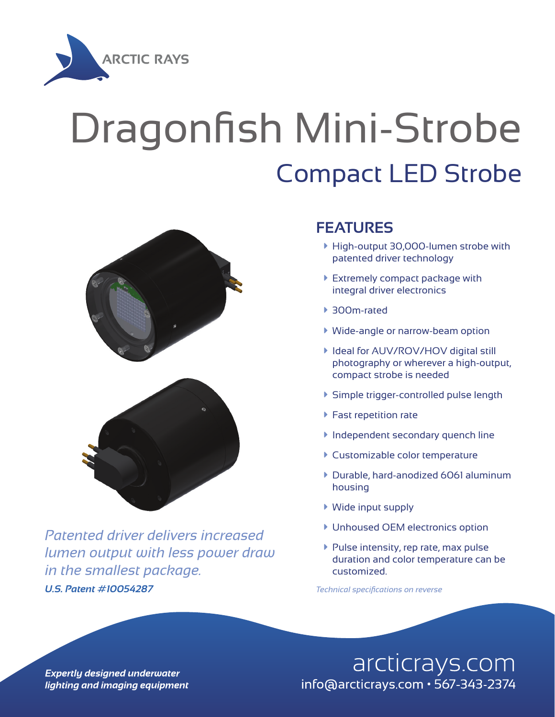

## Dragonfish Mini-Strobe Compact LED Strobe



*U.S. Patent #10054287 Technical specifications on reverse Patented driver delivers increased lumen output with less power draw in the smallest package.*

## **FEATURES**

- à High-output 30,000-lumen strobe with patented driver technology
- $\blacktriangleright$  Extremely compact package with integral driver electronics
- ▶ 300m-rated
- à Wide-angle or narrow-beam option
- ▶ Ideal for AUV/ROV/HOV digital still photography or wherever a high-output, compact strobe is needed
- à Simple trigger-controlled pulse length
- $\blacktriangleright$  Fast repetition rate
- **Independent secondary quench line**
- **Customizable color temperature**
- à Durable, hard-anodized 6061 aluminum housing
- $\blacktriangleright$  Wide input supply
- **Unhoused OEM electronics option**
- $\blacktriangleright$  Pulse intensity, rep rate, max pulse duration and color temperature can be customized.

arcticrays.com info@arcticrays.com • 567-343-2374

**Expertly designed underwater** lighting and imaging equipment